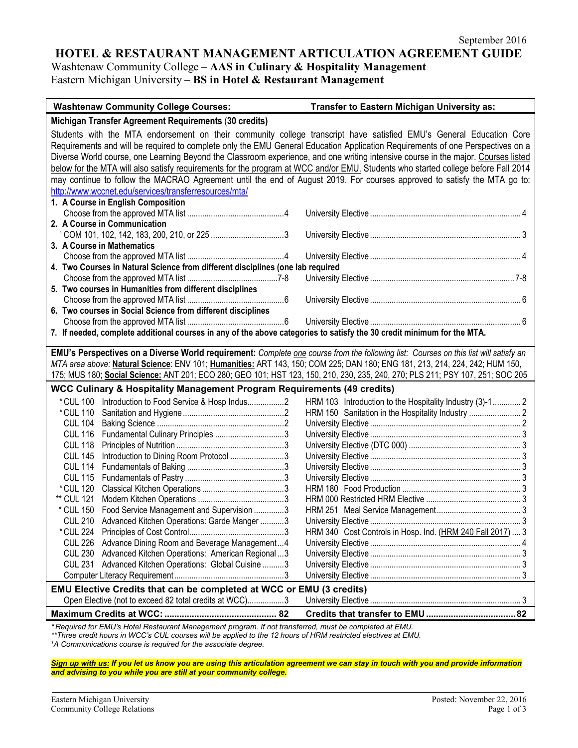### **HOTEL & RESTAURANT MANAGEMENT ARTICULATION AGREEMENT GUIDE**

Washtenaw Community College – **AAS in Culinary & Hospitality Management**

Eastern Michigan University – **BS in Hotel & Restaurant Management**

| <b>Washtenaw Community College Courses:</b>                                                                                                                                                                                                                                                                                                                                                                                                                                                                                     | Transfer to Eastern Michigan University as:                |  |  |
|---------------------------------------------------------------------------------------------------------------------------------------------------------------------------------------------------------------------------------------------------------------------------------------------------------------------------------------------------------------------------------------------------------------------------------------------------------------------------------------------------------------------------------|------------------------------------------------------------|--|--|
| Michigan Transfer Agreement Requirements (30 credits)                                                                                                                                                                                                                                                                                                                                                                                                                                                                           |                                                            |  |  |
| Students with the MTA endorsement on their community college transcript have satisfied EMU's General Education Core<br>Requirements and will be required to complete only the EMU General Education Application Requirements of one Perspectives on a<br>Diverse World course, one Learning Beyond the Classroom experience, and one writing intensive course in the major. Courses listed<br>below for the MTA will also satisfy requirements for the program at WCC and/or EMU. Students who started college before Fall 2014 |                                                            |  |  |
| may continue to follow the MACRAO Agreement until the end of August 2019. For courses approved to satisfy the MTA go to:                                                                                                                                                                                                                                                                                                                                                                                                        |                                                            |  |  |
| http://www.wccnet.edu/services/transferresources/mta/                                                                                                                                                                                                                                                                                                                                                                                                                                                                           |                                                            |  |  |
| 1. A Course in English Composition                                                                                                                                                                                                                                                                                                                                                                                                                                                                                              |                                                            |  |  |
| 2. A Course in Communication                                                                                                                                                                                                                                                                                                                                                                                                                                                                                                    |                                                            |  |  |
|                                                                                                                                                                                                                                                                                                                                                                                                                                                                                                                                 |                                                            |  |  |
| 3. A Course in Mathematics                                                                                                                                                                                                                                                                                                                                                                                                                                                                                                      |                                                            |  |  |
| 4. Two Courses in Natural Science from different disciplines (one lab required                                                                                                                                                                                                                                                                                                                                                                                                                                                  |                                                            |  |  |
|                                                                                                                                                                                                                                                                                                                                                                                                                                                                                                                                 |                                                            |  |  |
| 5. Two courses in Humanities from different disciplines                                                                                                                                                                                                                                                                                                                                                                                                                                                                         |                                                            |  |  |
|                                                                                                                                                                                                                                                                                                                                                                                                                                                                                                                                 |                                                            |  |  |
| 6. Two courses in Social Science from different disciplines                                                                                                                                                                                                                                                                                                                                                                                                                                                                     |                                                            |  |  |
| 7. If needed, complete additional courses in any of the above categories to satisfy the 30 credit minimum for the MTA.                                                                                                                                                                                                                                                                                                                                                                                                          |                                                            |  |  |
|                                                                                                                                                                                                                                                                                                                                                                                                                                                                                                                                 |                                                            |  |  |
| EMU's Perspectives on a Diverse World requirement: Complete one course from the following list: Courses on this list will satisfy an                                                                                                                                                                                                                                                                                                                                                                                            |                                                            |  |  |
| MTA area above: Natural Science: ENV 101; Humanities: ART 143, 150; COM 225; DAN 180; ENG 181, 213, 214, 224, 242; HUM 150,<br>175; MUS 180; <u>Social Science:</u> ANT 201; ECO 280; GEO 101; HST 123, 150, 210, 230, 235, 240, 270; PLS 211; PSY 107, 251; SOC 205                                                                                                                                                                                                                                                            |                                                            |  |  |
| <b>WCC Culinary &amp; Hospitality Management Program Requirements (49 credits)</b>                                                                                                                                                                                                                                                                                                                                                                                                                                              |                                                            |  |  |
| * CUL 100 Introduction to Food Service & Hosp Indus2                                                                                                                                                                                                                                                                                                                                                                                                                                                                            | HRM 103 Introduction to the Hospitality Industry (3)-1 2   |  |  |
| *CUL 110                                                                                                                                                                                                                                                                                                                                                                                                                                                                                                                        |                                                            |  |  |
| <b>CUL 104</b>                                                                                                                                                                                                                                                                                                                                                                                                                                                                                                                  |                                                            |  |  |
| <b>CUL 116</b><br>Fundamental Culinary Principles 3                                                                                                                                                                                                                                                                                                                                                                                                                                                                             |                                                            |  |  |
| <b>CUL 118</b>                                                                                                                                                                                                                                                                                                                                                                                                                                                                                                                  |                                                            |  |  |
| <b>CUL 145</b><br>Introduction to Dining Room Protocol 3<br><b>CUL 114</b>                                                                                                                                                                                                                                                                                                                                                                                                                                                      |                                                            |  |  |
| <b>CUL 115</b>                                                                                                                                                                                                                                                                                                                                                                                                                                                                                                                  |                                                            |  |  |
| * CUL 120                                                                                                                                                                                                                                                                                                                                                                                                                                                                                                                       |                                                            |  |  |
| ** CUL 121                                                                                                                                                                                                                                                                                                                                                                                                                                                                                                                      |                                                            |  |  |
| Food Service Management and Supervision 3<br>* CUL 150                                                                                                                                                                                                                                                                                                                                                                                                                                                                          |                                                            |  |  |
| Advanced Kitchen Operations: Garde Manger 3<br><b>CUL 210</b>                                                                                                                                                                                                                                                                                                                                                                                                                                                                   |                                                            |  |  |
|                                                                                                                                                                                                                                                                                                                                                                                                                                                                                                                                 | HRM 340 Cost Controls in Hosp. Ind. (HRM 240 Fall 2017)  3 |  |  |
| CUL 226 Advance Dining Room and Beverage Management4                                                                                                                                                                                                                                                                                                                                                                                                                                                                            |                                                            |  |  |
| CUL 230 Advanced Kitchen Operations: American Regional  3                                                                                                                                                                                                                                                                                                                                                                                                                                                                       |                                                            |  |  |
| CUL 231 Advanced Kitchen Operations: Global Cuisine  3                                                                                                                                                                                                                                                                                                                                                                                                                                                                          |                                                            |  |  |
|                                                                                                                                                                                                                                                                                                                                                                                                                                                                                                                                 |                                                            |  |  |
| EMU Elective Credits that can be completed at WCC or EMU (3 credits)<br>Open Elective (not to exceed 82 total credits at WCC)3                                                                                                                                                                                                                                                                                                                                                                                                  |                                                            |  |  |
|                                                                                                                                                                                                                                                                                                                                                                                                                                                                                                                                 |                                                            |  |  |
| *Required for EMU's Hotel Restaurant Management program. If not transferred, must be completed at EMU.                                                                                                                                                                                                                                                                                                                                                                                                                          |                                                            |  |  |

*\* Required for EMU's Hotel Restaurant Management program. If not transferred, must be completed at EMU.*

*\*\*Three credit hours in WCC's CUL courses will be applied to the 12 hours of HRM restricted electives at EMU.*

*1 A Communications course is required for the associate degree.*

*Sign up with us: If you let us know you are using this articulation agreement we can stay in touch with you and provide information and advising to you while you are still at your community college.*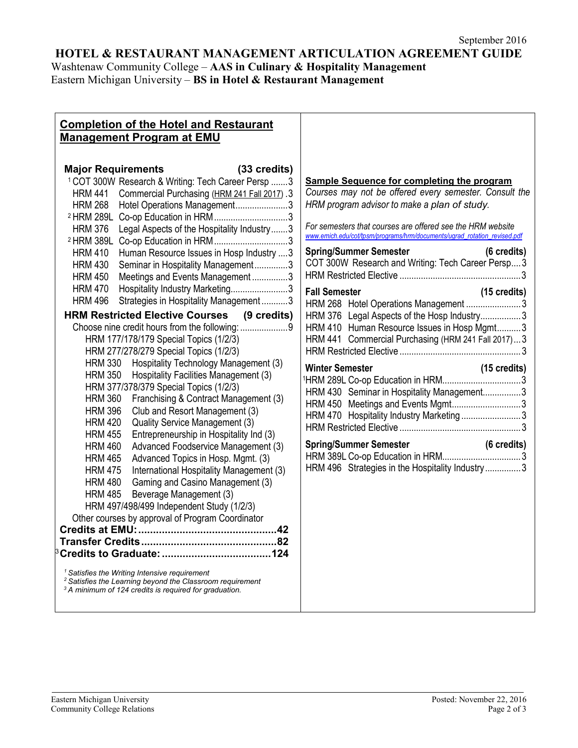# **HOTEL & RESTAURANT MANAGEMENT ARTICULATION AGREEMENT GUIDE**

Washtenaw Community College – **AAS in Culinary & Hospitality Management** Eastern Michigan University – **BS in Hotel & Restaurant Management**

# **Completion of the Hotel and Restaurant Management Program at EMU**

| <b>Major Requirements</b>                                      | (33 credits) |
|----------------------------------------------------------------|--------------|
| <sup>1</sup> COT 300W Research & Writing: Tech Career Persp  3 |              |
| Commercial Purchasing (HRM 241 Fall 2017) .3<br><b>HRM 441</b> |              |
| Hotel Operations Management3<br><b>HRM 268</b>                 |              |
| Co-op Education in HRM3<br><sup>2</sup> HRM 289L               |              |
| Legal Aspects of the Hospitality Industry3<br><b>HRM 376</b>   |              |
| Co-op Education in HRM3<br><sup>2</sup> HRM 389L               |              |
| Human Resource Issues in Hosp Industry  3<br><b>HRM 410</b>    |              |
| <b>HRM 430</b><br>Seminar in Hospitality Management3           |              |
| Meetings and Events Management3<br><b>HRM 450</b>              |              |
| Hospitality Industry Marketing3<br><b>HRM 470</b>              |              |
| Strategies in Hospitality Management3<br><b>HRM 496</b>        |              |
| <b>HRM Restricted Elective Courses (9 credits)</b>             |              |
| Choose nine credit hours from the following: 9                 |              |
| HRM 177/178/179 Special Topics (1/2/3)                         |              |
| HRM 277/278/279 Special Topics (1/2/3)                         |              |
| Hospitality Technology Management (3)<br><b>HRM 330</b>        |              |
| Hospitality Facilities Management (3)<br><b>HRM 350</b>        |              |
| HRM 377/378/379 Special Topics (1/2/3)                         |              |
| <b>HRM 360</b><br>Franchising & Contract Management (3)        |              |
| Club and Resort Management (3)<br><b>HRM 396</b>               |              |
| Quality Service Management (3)<br><b>HRM 420</b>               |              |
| <b>HRM 455</b><br>Entrepreneurship in Hospitality Ind (3)      |              |
| <b>HRM 460</b><br>Advanced Foodservice Management (3)          |              |
| Advanced Topics in Hosp. Mgmt. (3)<br><b>HRM 465</b>           |              |
| International Hospitality Management (3)<br><b>HRM 475</b>     |              |
| Gaming and Casino Management (3)<br><b>HRM 480</b>             |              |
| Beverage Management (3)<br><b>HRM 485</b>                      |              |
| HRM 497/498/499 Independent Study (1/2/3)                      |              |
| Other courses by approval of Program Coordinator               |              |
|                                                                |              |
|                                                                |              |
|                                                                |              |
| $1$ Satisfies the Writing Intensive requirement                |              |

# HRM Restricted Elective ...................................................3

| <b>Fall Semester</b> |                                                    | $(15 \text{ credits})$ |
|----------------------|----------------------------------------------------|------------------------|
|                      | HRM 268 Hotel Operations Management 3              |                        |
|                      | HRM 376 Legal Aspects of the Hosp Industry3        |                        |
|                      | HRM 410 Human Resource Issues in Hosp Mgmt3        |                        |
|                      | HRM 441 Commercial Purchasing (HRM 241 Fall 2017)3 |                        |
|                      |                                                    |                        |
|                      |                                                    |                        |

**Sample Sequence for completing the program** *Courses may not be offered every semester. Consult the*

*For semesters that courses are offered see the HRM website [www.emich.edu/cot/tpsm/programs/hrm/documents/ugrad\\_rotation\\_revised.pdf](http://www.emich.edu/cot/tpsm/programs/hrm/documents/ugrad_rotation_revised.pdf)* **Spring/Summer Semester (6 credits)** COT 300W Research and Writing: Tech Career Persp....3

*HRM program advisor to make a plan of study.*

#### **Winter Semester (15 credits)** 1HRM 289L Co-op Education in HRM.................................3 HRM 430 Seminar in Hospitality Management................3 HRM 450 Meetings and Events Mgmt.............................3 HRM 470 Hospitality Industry Marketing ...........................3

| <b>Spring/Summer Semester</b>                   | (6 credits) |
|-------------------------------------------------|-------------|
|                                                 |             |
| HRM 496 Strategies in the Hospitality Industry3 |             |

*<sup>1</sup> Satisfies the Writing Intensive requirement 2 Satisfies the Learning beyond the Classroom requirement*

*<sup>3</sup> A minimum of 124 credits is required for graduation.*